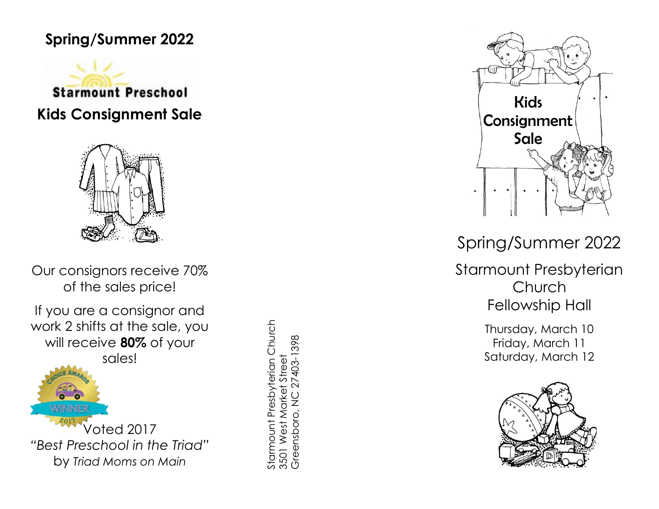# **Spring/Summer 2022**





Our consignors receive 70% of the sales price!

If you are a consignor and work 2 shifts at the sale, you will receive **80%** of your sales!



Starmount Presbyterian Church<br>3501 West Market Street<br>Greensboro, NC 27403-1398 Starmount Presbyterian Church Greensboro, NC 27403-1398 3501 West Market Street



Spring/Summer 2022

Starmount Presbyterian Church Fellowship Hall

> Thursday, March 10 Friday, March 11 Saturday, March 12